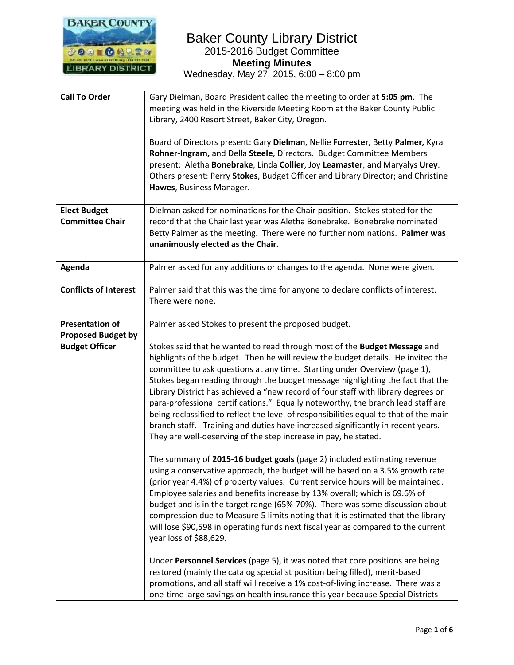

| <b>Call To Order</b>                               | Gary Dielman, Board President called the meeting to order at 5:05 pm. The<br>meeting was held in the Riverside Meeting Room at the Baker County Public<br>Library, 2400 Resort Street, Baker City, Oregon.<br>Board of Directors present: Gary Dielman, Nellie Forrester, Betty Palmer, Kyra<br>Rohner-Ingram, and Della Steele, Directors. Budget Committee Members<br>present: Aletha Bonebrake, Linda Collier, Joy Leamaster, and Maryalys Urey.<br>Others present: Perry Stokes, Budget Officer and Library Director; and Christine<br>Hawes, Business Manager.                                                                                                                                                                                  |
|----------------------------------------------------|------------------------------------------------------------------------------------------------------------------------------------------------------------------------------------------------------------------------------------------------------------------------------------------------------------------------------------------------------------------------------------------------------------------------------------------------------------------------------------------------------------------------------------------------------------------------------------------------------------------------------------------------------------------------------------------------------------------------------------------------------|
| <b>Elect Budget</b><br><b>Committee Chair</b>      | Dielman asked for nominations for the Chair position. Stokes stated for the<br>record that the Chair last year was Aletha Bonebrake. Bonebrake nominated<br>Betty Palmer as the meeting. There were no further nominations. Palmer was<br>unanimously elected as the Chair.                                                                                                                                                                                                                                                                                                                                                                                                                                                                          |
| Agenda                                             | Palmer asked for any additions or changes to the agenda. None were given.                                                                                                                                                                                                                                                                                                                                                                                                                                                                                                                                                                                                                                                                            |
| <b>Conflicts of Interest</b>                       | Palmer said that this was the time for anyone to declare conflicts of interest.<br>There were none.                                                                                                                                                                                                                                                                                                                                                                                                                                                                                                                                                                                                                                                  |
| <b>Presentation of</b>                             | Palmer asked Stokes to present the proposed budget.                                                                                                                                                                                                                                                                                                                                                                                                                                                                                                                                                                                                                                                                                                  |
| <b>Proposed Budget by</b><br><b>Budget Officer</b> | Stokes said that he wanted to read through most of the Budget Message and<br>highlights of the budget. Then he will review the budget details. He invited the<br>committee to ask questions at any time. Starting under Overview (page 1),<br>Stokes began reading through the budget message highlighting the fact that the<br>Library District has achieved a "new record of four staff with library degrees or<br>para-professional certifications." Equally noteworthy, the branch lead staff are<br>being reclassified to reflect the level of responsibilities equal to that of the main<br>branch staff. Training and duties have increased significantly in recent years.<br>They are well-deserving of the step increase in pay, he stated. |
|                                                    | The summary of 2015-16 budget goals (page 2) included estimating revenue<br>using a conservative approach, the budget will be based on a 3.5% growth rate<br>(prior year 4.4%) of property values. Current service hours will be maintained.<br>Employee salaries and benefits increase by 13% overall; which is 69.6% of<br>budget and is in the target range (65%-70%). There was some discussion about<br>compression due to Measure 5 limits noting that it is estimated that the library<br>will lose \$90,598 in operating funds next fiscal year as compared to the current<br>year loss of \$88,629.                                                                                                                                         |
|                                                    | Under Personnel Services (page 5), it was noted that core positions are being<br>restored (mainly the catalog specialist position being filled), merit-based<br>promotions, and all staff will receive a 1% cost-of-living increase. There was a<br>one-time large savings on health insurance this year because Special Districts                                                                                                                                                                                                                                                                                                                                                                                                                   |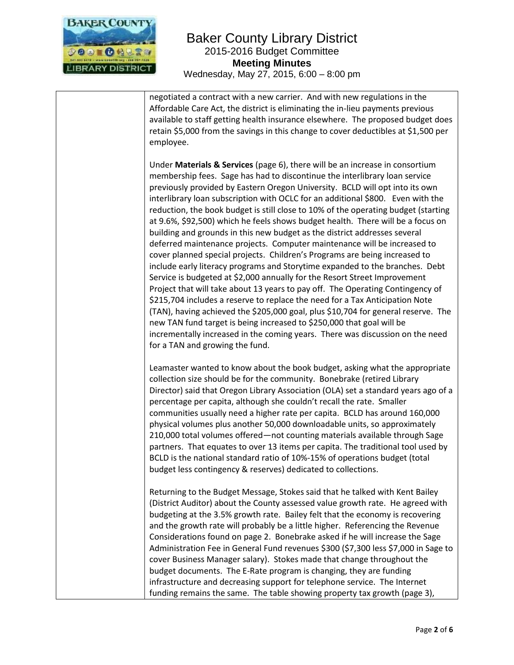

negotiated a contract with a new carrier. And with new regulations in the Affordable Care Act, the district is eliminating the in-lieu payments previous available to staff getting health insurance elsewhere. The proposed budget does retain \$5,000 from the savings in this change to cover deductibles at \$1,500 per employee.

Under **Materials & Services** (page 6), there will be an increase in consortium membership fees. Sage has had to discontinue the interlibrary loan service previously provided by Eastern Oregon University. BCLD will opt into its own interlibrary loan subscription with OCLC for an additional \$800. Even with the reduction, the book budget is still close to 10% of the operating budget (starting at 9.6%, \$92,500) which he feels shows budget health. There will be a focus on building and grounds in this new budget as the district addresses several deferred maintenance projects. Computer maintenance will be increased to cover planned special projects. Children's Programs are being increased to include early literacy programs and Storytime expanded to the branches. Debt Service is budgeted at \$2,000 annually for the Resort Street Improvement Project that will take about 13 years to pay off. The Operating Contingency of \$215,704 includes a reserve to replace the need for a Tax Anticipation Note (TAN), having achieved the \$205,000 goal, plus \$10,704 for general reserve. The new TAN fund target is being increased to \$250,000 that goal will be incrementally increased in the coming years. There was discussion on the need for a TAN and growing the fund.

Leamaster wanted to know about the book budget, asking what the appropriate collection size should be for the community. Bonebrake (retired Library Director) said that Oregon Library Association (OLA) set a standard years ago of a percentage per capita, although she couldn't recall the rate. Smaller communities usually need a higher rate per capita. BCLD has around 160,000 physical volumes plus another 50,000 downloadable units, so approximately 210,000 total volumes offered—not counting materials available through Sage partners. That equates to over 13 items per capita. The traditional tool used by BCLD is the national standard ratio of 10%-15% of operations budget (total budget less contingency & reserves) dedicated to collections.

Returning to the Budget Message, Stokes said that he talked with Kent Bailey (District Auditor) about the County assessed value growth rate. He agreed with budgeting at the 3.5% growth rate. Bailey felt that the economy is recovering and the growth rate will probably be a little higher. Referencing the Revenue Considerations found on page 2. Bonebrake asked if he will increase the Sage Administration Fee in General Fund revenues \$300 (\$7,300 less \$7,000 in Sage to cover Business Manager salary). Stokes made that change throughout the budget documents. The E-Rate program is changing, they are funding infrastructure and decreasing support for telephone service. The Internet funding remains the same. The table showing property tax growth (page 3),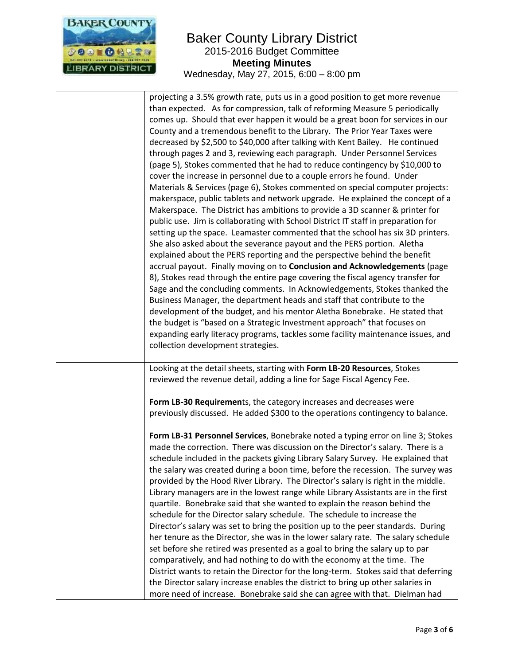

| projecting a 3.5% growth rate, puts us in a good position to get more revenue<br>than expected. As for compression, talk of reforming Measure 5 periodically<br>comes up. Should that ever happen it would be a great boon for services in our<br>County and a tremendous benefit to the Library. The Prior Year Taxes were<br>decreased by \$2,500 to \$40,000 after talking with Kent Bailey. He continued<br>through pages 2 and 3, reviewing each paragraph. Under Personnel Services<br>(page 5), Stokes commented that he had to reduce contingency by \$10,000 to<br>cover the increase in personnel due to a couple errors he found. Under<br>Materials & Services (page 6), Stokes commented on special computer projects:<br>makerspace, public tablets and network upgrade. He explained the concept of a<br>Makerspace. The District has ambitions to provide a 3D scanner & printer for<br>public use. Jim is collaborating with School District IT staff in preparation for<br>setting up the space. Leamaster commented that the school has six 3D printers.<br>She also asked about the severance payout and the PERS portion. Aletha<br>explained about the PERS reporting and the perspective behind the benefit<br>accrual payout. Finally moving on to Conclusion and Acknowledgements (page<br>8), Stokes read through the entire page covering the fiscal agency transfer for<br>Sage and the concluding comments. In Acknowledgements, Stokes thanked the<br>Business Manager, the department heads and staff that contribute to the<br>development of the budget, and his mentor Aletha Bonebrake. He stated that<br>the budget is "based on a Strategic Investment approach" that focuses on<br>expanding early literacy programs, tackles some facility maintenance issues, and<br>collection development strategies. |
|-------------------------------------------------------------------------------------------------------------------------------------------------------------------------------------------------------------------------------------------------------------------------------------------------------------------------------------------------------------------------------------------------------------------------------------------------------------------------------------------------------------------------------------------------------------------------------------------------------------------------------------------------------------------------------------------------------------------------------------------------------------------------------------------------------------------------------------------------------------------------------------------------------------------------------------------------------------------------------------------------------------------------------------------------------------------------------------------------------------------------------------------------------------------------------------------------------------------------------------------------------------------------------------------------------------------------------------------------------------------------------------------------------------------------------------------------------------------------------------------------------------------------------------------------------------------------------------------------------------------------------------------------------------------------------------------------------------------------------------------------------------------------------------------------------------------------------------------------|
| Looking at the detail sheets, starting with Form LB-20 Resources, Stokes<br>reviewed the revenue detail, adding a line for Sage Fiscal Agency Fee.                                                                                                                                                                                                                                                                                                                                                                                                                                                                                                                                                                                                                                                                                                                                                                                                                                                                                                                                                                                                                                                                                                                                                                                                                                                                                                                                                                                                                                                                                                                                                                                                                                                                                              |
| Form LB-30 Requirements, the category increases and decreases were<br>previously discussed. He added \$300 to the operations contingency to balance.<br>Form LB-31 Personnel Services, Bonebrake noted a typing error on line 3; Stokes<br>made the correction. There was discussion on the Director's salary. There is a<br>schedule included in the packets giving Library Salary Survey. He explained that<br>the salary was created during a boon time, before the recession. The survey was<br>provided by the Hood River Library. The Director's salary is right in the middle.<br>Library managers are in the lowest range while Library Assistants are in the first<br>quartile. Bonebrake said that she wanted to explain the reason behind the<br>schedule for the Director salary schedule. The schedule to increase the<br>Director's salary was set to bring the position up to the peer standards. During<br>her tenure as the Director, she was in the lower salary rate. The salary schedule<br>set before she retired was presented as a goal to bring the salary up to par<br>comparatively, and had nothing to do with the economy at the time. The<br>District wants to retain the Director for the long-term. Stokes said that deferring<br>the Director salary increase enables the district to bring up other salaries in<br>more need of increase. Bonebrake said she can agree with that. Dielman had                                                                                                                                                                                                                                                                                                                                                                                                                  |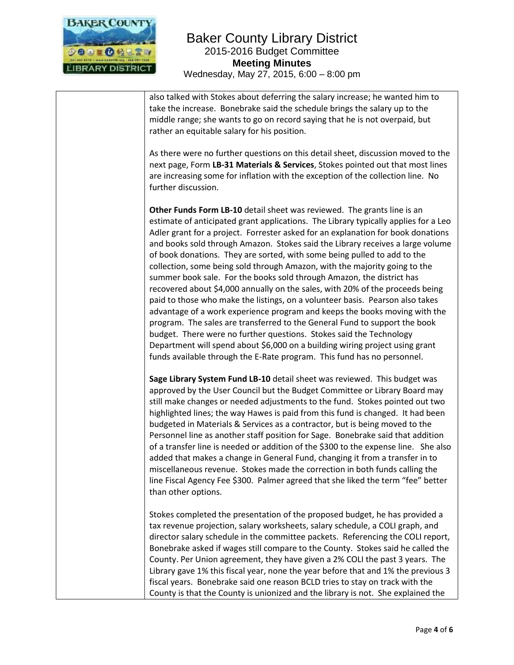

also talked with Stokes about deferring the salary increase; he wanted him to take the increase. Bonebrake said the schedule brings the salary up to the middle range; she wants to go on record saying that he is not overpaid, but rather an equitable salary for his position. As there were no further questions on this detail sheet, discussion moved to the next page, Form **LB-31 Materials & Services**, Stokes pointed out that most lines are increasing some for inflation with the exception of the collection line. No further discussion. **Other Funds Form LB-10** detail sheet was reviewed. The grants line is an estimate of anticipated grant applications. The Library typically applies for a Leo Adler grant for a project. Forrester asked for an explanation for book donations and books sold through Amazon. Stokes said the Library receives a large volume of book donations. They are sorted, with some being pulled to add to the collection, some being sold through Amazon, with the majority going to the summer book sale. For the books sold through Amazon, the district has recovered about \$4,000 annually on the sales, with 20% of the proceeds being paid to those who make the listings, on a volunteer basis. Pearson also takes advantage of a work experience program and keeps the books moving with the program. The sales are transferred to the General Fund to support the book budget. There were no further questions. Stokes said the Technology Department will spend about \$6,000 on a building wiring project using grant funds available through the E-Rate program. This fund has no personnel. **Sage Library System Fund LB-10** detail sheet was reviewed. This budget was approved by the User Council but the Budget Committee or Library Board may still make changes or needed adjustments to the fund. Stokes pointed out two highlighted lines; the way Hawes is paid from this fund is changed. It had been budgeted in Materials & Services as a contractor, but is being moved to the Personnel line as another staff position for Sage. Bonebrake said that addition of a transfer line is needed or addition of the \$300 to the expense line. She also added that makes a change in General Fund, changing it from a transfer in to miscellaneous revenue. Stokes made the correction in both funds calling the line Fiscal Agency Fee \$300. Palmer agreed that she liked the term "fee" better than other options. Stokes completed the presentation of the proposed budget, he has provided a tax revenue projection, salary worksheets, salary schedule, a COLI graph, and director salary schedule in the committee packets. Referencing the COLI report, Bonebrake asked if wages still compare to the County. Stokes said he called the County. Per Union agreement, they have given a 2% COLI the past 3 years. The Library gave 1% this fiscal year, none the year before that and 1% the previous 3 fiscal years. Bonebrake said one reason BCLD tries to stay on track with the

County is that the County is unionized and the library is not. She explained the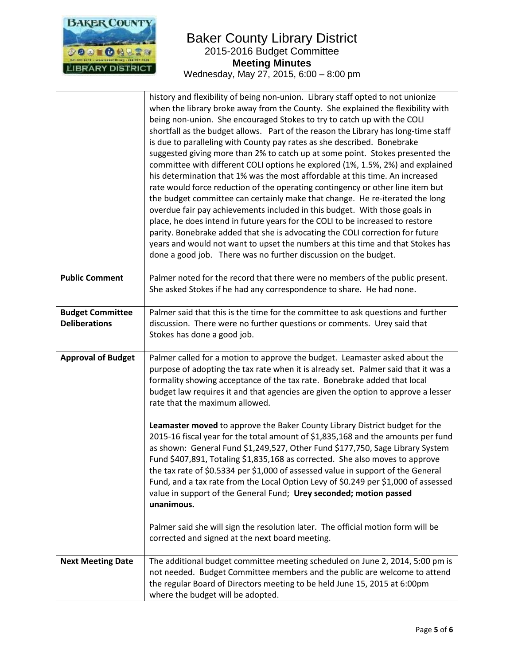

|                                                 | history and flexibility of being non-union. Library staff opted to not unionize<br>when the library broke away from the County. She explained the flexibility with<br>being non-union. She encouraged Stokes to try to catch up with the COLI<br>shortfall as the budget allows. Part of the reason the Library has long-time staff<br>is due to paralleling with County pay rates as she described. Bonebrake<br>suggested giving more than 2% to catch up at some point. Stokes presented the<br>committee with different COLI options he explored (1%, 1.5%, 2%) and explained<br>his determination that 1% was the most affordable at this time. An increased<br>rate would force reduction of the operating contingency or other line item but<br>the budget committee can certainly make that change. He re-iterated the long<br>overdue fair pay achievements included in this budget. With those goals in<br>place, he does intend in future years for the COLI to be increased to restore<br>parity. Bonebrake added that she is advocating the COLI correction for future<br>years and would not want to upset the numbers at this time and that Stokes has<br>done a good job. There was no further discussion on the budget. |
|-------------------------------------------------|------------------------------------------------------------------------------------------------------------------------------------------------------------------------------------------------------------------------------------------------------------------------------------------------------------------------------------------------------------------------------------------------------------------------------------------------------------------------------------------------------------------------------------------------------------------------------------------------------------------------------------------------------------------------------------------------------------------------------------------------------------------------------------------------------------------------------------------------------------------------------------------------------------------------------------------------------------------------------------------------------------------------------------------------------------------------------------------------------------------------------------------------------------------------------------------------------------------------------------------|
| <b>Public Comment</b>                           | Palmer noted for the record that there were no members of the public present.<br>She asked Stokes if he had any correspondence to share. He had none.                                                                                                                                                                                                                                                                                                                                                                                                                                                                                                                                                                                                                                                                                                                                                                                                                                                                                                                                                                                                                                                                                    |
| <b>Budget Committee</b><br><b>Deliberations</b> | Palmer said that this is the time for the committee to ask questions and further<br>discussion. There were no further questions or comments. Urey said that<br>Stokes has done a good job.                                                                                                                                                                                                                                                                                                                                                                                                                                                                                                                                                                                                                                                                                                                                                                                                                                                                                                                                                                                                                                               |
| <b>Approval of Budget</b>                       | Palmer called for a motion to approve the budget. Leamaster asked about the<br>purpose of adopting the tax rate when it is already set. Palmer said that it was a<br>formality showing acceptance of the tax rate. Bonebrake added that local<br>budget law requires it and that agencies are given the option to approve a lesser<br>rate that the maximum allowed.                                                                                                                                                                                                                                                                                                                                                                                                                                                                                                                                                                                                                                                                                                                                                                                                                                                                     |
|                                                 | Leamaster moved to approve the Baker County Library District budget for the<br>2015-16 fiscal year for the total amount of \$1,835,168 and the amounts per fund<br>as shown: General Fund \$1,249,527, Other Fund \$177,750, Sage Library System<br>Fund \$407,891, Totaling \$1,835,168 as corrected. She also moves to approve<br>the tax rate of \$0.5334 per \$1,000 of assessed value in support of the General<br>Fund, and a tax rate from the Local Option Levy of \$0.249 per \$1,000 of assessed<br>value in support of the General Fund; Urey seconded; motion passed<br>unanimous.                                                                                                                                                                                                                                                                                                                                                                                                                                                                                                                                                                                                                                           |
|                                                 | Palmer said she will sign the resolution later. The official motion form will be<br>corrected and signed at the next board meeting.                                                                                                                                                                                                                                                                                                                                                                                                                                                                                                                                                                                                                                                                                                                                                                                                                                                                                                                                                                                                                                                                                                      |
| <b>Next Meeting Date</b>                        | The additional budget committee meeting scheduled on June 2, 2014, 5:00 pm is<br>not needed. Budget Committee members and the public are welcome to attend<br>the regular Board of Directors meeting to be held June 15, 2015 at 6:00pm<br>where the budget will be adopted.                                                                                                                                                                                                                                                                                                                                                                                                                                                                                                                                                                                                                                                                                                                                                                                                                                                                                                                                                             |